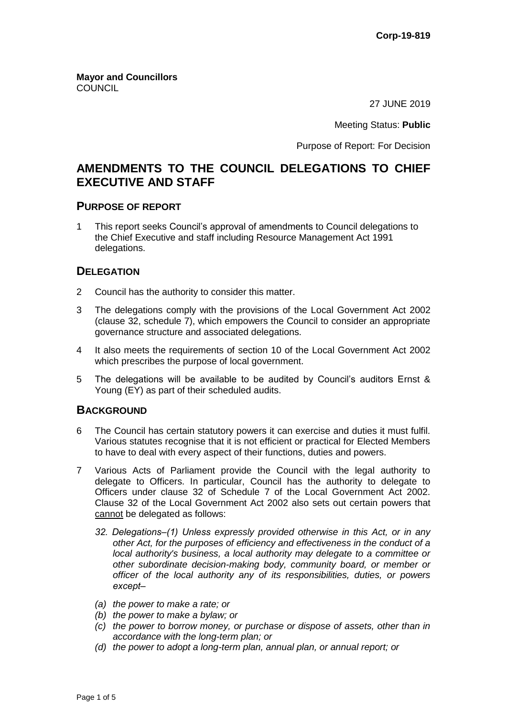**Mayor and Councillors COUNCIL** 

27 JUNE 2019

Meeting Status: **Public**

Purpose of Report: For Decision

# **AMENDMENTS TO THE COUNCIL DELEGATIONS TO CHIEF EXECUTIVE AND STAFF**

### **PURPOSE OF REPORT**

1 This report seeks Council's approval of amendments to Council delegations to the Chief Executive and staff including Resource Management Act 1991 delegations.

## **DELEGATION**

- 2 Council has the authority to consider this matter.
- 3 The delegations comply with the provisions of the Local Government Act 2002 (clause 32, schedule 7), which empowers the Council to consider an appropriate governance structure and associated delegations.
- 4 It also meets the requirements of section 10 of the Local Government Act 2002 which prescribes the purpose of local government.
- 5 The delegations will be available to be audited by Council's auditors Ernst & Young (EY) as part of their scheduled audits.

## **BACKGROUND**

- 6 The Council has certain statutory powers it can exercise and duties it must fulfil. Various statutes recognise that it is not efficient or practical for Elected Members to have to deal with every aspect of their functions, duties and powers.
- 7 Various Acts of Parliament provide the Council with the legal authority to delegate to Officers. In particular, Council has the authority to delegate to Officers under clause 32 of Schedule 7 of the Local Government Act 2002. Clause 32 of the Local Government Act 2002 also sets out certain powers that cannot be delegated as follows:
	- *32. Delegations‒(1) Unless expressly provided otherwise in this Act, or in any other Act, for the purposes of efficiency and effectiveness in the conduct of a local authority's business, a local authority may delegate to a committee or other subordinate decision-making body, community board, or member or officer of the local authority any of its responsibilities, duties, or powers except‒*
	- *(a) the power to make a rate; or*
	- *(b) the power to make a bylaw; or*
	- *(c) the power to borrow money, or purchase or dispose of assets, other than in accordance with the long-term plan; or*
	- *(d) the power to adopt a long-term plan, annual plan, or annual report; or*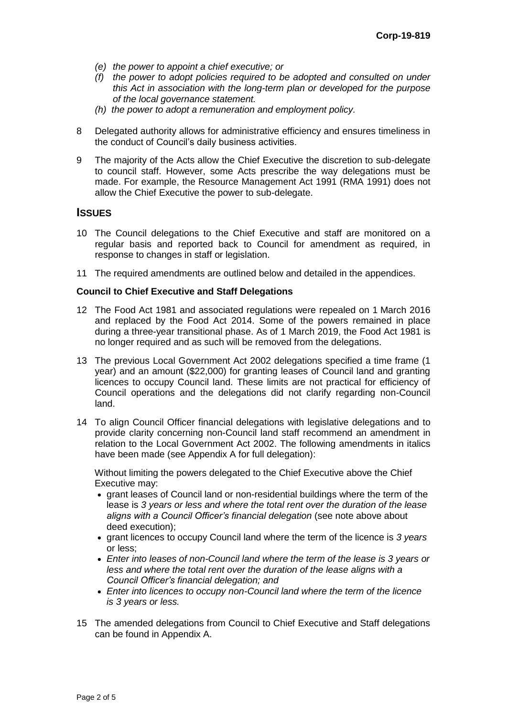- *(e) the power to appoint a chief executive; or*
- *(f) the power to adopt policies required to be adopted and consulted on under this Act in association with the long-term plan or developed for the purpose of the local governance statement.*
- *(h) the power to adopt a remuneration and employment policy.*
- 8 Delegated authority allows for administrative efficiency and ensures timeliness in the conduct of Council's daily business activities.
- 9 The majority of the Acts allow the Chief Executive the discretion to sub-delegate to council staff. However, some Acts prescribe the way delegations must be made. For example, the Resource Management Act 1991 (RMA 1991) does not allow the Chief Executive the power to sub-delegate.

## **ISSUES**

- 10 The Council delegations to the Chief Executive and staff are monitored on a regular basis and reported back to Council for amendment as required, in response to changes in staff or legislation.
- 11 The required amendments are outlined below and detailed in the appendices.

#### **Council to Chief Executive and Staff Delegations**

- 12 The Food Act 1981 and associated regulations were repealed on 1 March 2016 and replaced by the Food Act 2014. Some of the powers remained in place during a three-year transitional phase. As of 1 March 2019, the Food Act 1981 is no longer required and as such will be removed from the delegations.
- 13 The previous Local Government Act 2002 delegations specified a time frame (1 year) and an amount (\$22,000) for granting leases of Council land and granting licences to occupy Council land. These limits are not practical for efficiency of Council operations and the delegations did not clarify regarding non-Council land.
- 14 To align Council Officer financial delegations with legislative delegations and to provide clarity concerning non-Council land staff recommend an amendment in relation to the Local Government Act 2002. The following amendments in italics have been made (see Appendix A for full delegation):

Without limiting the powers delegated to the Chief Executive above the Chief Executive may:

- grant leases of Council land or non-residential buildings where the term of the lease is *3 years or less and where the total rent over the duration of the lease aligns with a Council Officer's financial delegation* (see note above about deed execution);
- grant licences to occupy Council land where the term of the licence is *3 years*  or less;
- *Enter into leases of non-Council land where the term of the lease is 3 years or less and where the total rent over the duration of the lease aligns with a Council Officer's financial delegation; and*
- *Enter into licences to occupy non-Council land where the term of the licence is 3 years or less.*
- 15 The amended delegations from Council to Chief Executive and Staff delegations can be found in Appendix A.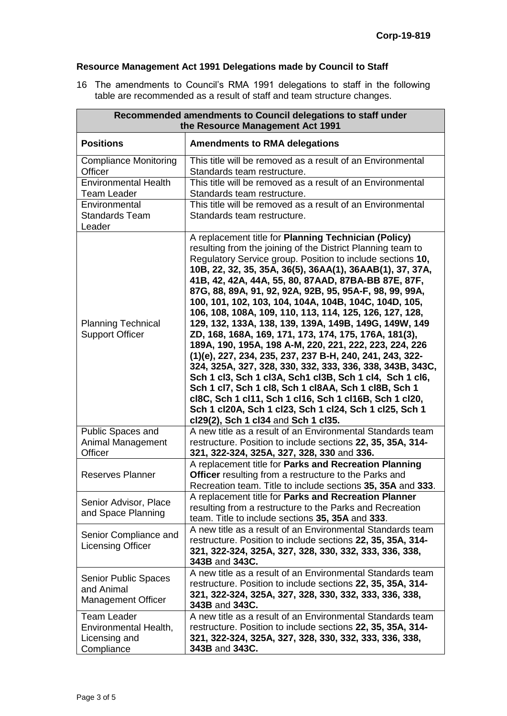# **Resource Management Act 1991 Delegations made by Council to Staff**

16 The amendments to Council's RMA 1991 delegations to staff in the following table are recommended as a result of staff and team structure changes.

| Recommended amendments to Council delegations to staff under<br>the Resource Management Act 1991 |                                                                                                                                                                                                                                                                                                                                                                                                                                                                                                                                                                                                                                                                                                                                                                                                                                                                                                                                                                                                                                                                        |  |  |
|--------------------------------------------------------------------------------------------------|------------------------------------------------------------------------------------------------------------------------------------------------------------------------------------------------------------------------------------------------------------------------------------------------------------------------------------------------------------------------------------------------------------------------------------------------------------------------------------------------------------------------------------------------------------------------------------------------------------------------------------------------------------------------------------------------------------------------------------------------------------------------------------------------------------------------------------------------------------------------------------------------------------------------------------------------------------------------------------------------------------------------------------------------------------------------|--|--|
| <b>Positions</b>                                                                                 | <b>Amendments to RMA delegations</b>                                                                                                                                                                                                                                                                                                                                                                                                                                                                                                                                                                                                                                                                                                                                                                                                                                                                                                                                                                                                                                   |  |  |
| <b>Compliance Monitoring</b><br>Officer                                                          | This title will be removed as a result of an Environmental<br>Standards team restructure.                                                                                                                                                                                                                                                                                                                                                                                                                                                                                                                                                                                                                                                                                                                                                                                                                                                                                                                                                                              |  |  |
| <b>Environmental Health</b><br><b>Team Leader</b>                                                | This title will be removed as a result of an Environmental<br>Standards team restructure.                                                                                                                                                                                                                                                                                                                                                                                                                                                                                                                                                                                                                                                                                                                                                                                                                                                                                                                                                                              |  |  |
| Environmental<br><b>Standards Team</b><br>Leader                                                 | This title will be removed as a result of an Environmental<br>Standards team restructure.                                                                                                                                                                                                                                                                                                                                                                                                                                                                                                                                                                                                                                                                                                                                                                                                                                                                                                                                                                              |  |  |
| <b>Planning Technical</b><br><b>Support Officer</b>                                              | A replacement title for Planning Technician (Policy)<br>resulting from the joining of the District Planning team to<br>Regulatory Service group. Position to include sections 10,<br>10B, 22, 32, 35, 35A, 36(5), 36AA(1), 36AAB(1), 37, 37A,<br>41B, 42, 42A, 44A, 55, 80, 87AAD, 87BA-BB 87E, 87F,<br>87G, 88, 89A, 91, 92, 92A, 92B, 95, 95A-F, 98, 99, 99A,<br>100, 101, 102, 103, 104, 104A, 104B, 104C, 104D, 105,<br>106, 108, 108A, 109, 110, 113, 114, 125, 126, 127, 128,<br>129, 132, 133A, 138, 139, 139A, 149B, 149G, 149W, 149<br>ZD, 168, 168A, 169, 171, 173, 174, 175, 176A, 181(3),<br>189A, 190, 195A, 198 A-M, 220, 221, 222, 223, 224, 226<br>(1)(e), 227, 234, 235, 237, 237 B-H, 240, 241, 243, 322-<br>324, 325A, 327, 328, 330, 332, 333, 336, 338, 343B, 343C,<br>Sch 1 cl3, Sch 1 cl3A, Sch1 cl3B, Sch 1 cl4, Sch 1 cl6,<br>Sch 1 cl7, Sch 1 cl8, Sch 1 cl8AA, Sch 1 cl8B, Sch 1<br>cl8C, Sch 1 cl11, Sch 1 cl16, Sch 1 cl16B, Sch 1 cl20,<br>Sch 1 cl20A, Sch 1 cl23, Sch 1 cl24, Sch 1 cl25, Sch 1<br>cl29(2), Sch 1 cl34 and Sch 1 cl35. |  |  |
| Public Spaces and<br>Animal Management<br>Officer                                                | A new title as a result of an Environmental Standards team<br>restructure. Position to include sections 22, 35, 35A, 314-<br>321, 322-324, 325A, 327, 328, 330 and 336.                                                                                                                                                                                                                                                                                                                                                                                                                                                                                                                                                                                                                                                                                                                                                                                                                                                                                                |  |  |
| <b>Reserves Planner</b>                                                                          | A replacement title for Parks and Recreation Planning<br>Officer resulting from a restructure to the Parks and<br>Recreation team. Title to include sections 35, 35A and 333.                                                                                                                                                                                                                                                                                                                                                                                                                                                                                                                                                                                                                                                                                                                                                                                                                                                                                          |  |  |
| Senior Advisor, Place<br>and Space Planning                                                      | A replacement title for Parks and Recreation Planner<br>resulting from a restructure to the Parks and Recreation<br>team. Title to include sections 35, 35A and 333.                                                                                                                                                                                                                                                                                                                                                                                                                                                                                                                                                                                                                                                                                                                                                                                                                                                                                                   |  |  |
| Senior Compliance and<br><b>Licensing Officer</b>                                                | A new title as a result of an Environmental Standards team<br>restructure. Position to include sections 22, 35, 35A, 314-<br>321, 322-324, 325A, 327, 328, 330, 332, 333, 336, 338,<br>343B and 343C.                                                                                                                                                                                                                                                                                                                                                                                                                                                                                                                                                                                                                                                                                                                                                                                                                                                                  |  |  |
| <b>Senior Public Spaces</b><br>and Animal<br>Management Officer                                  | A new title as a result of an Environmental Standards team<br>restructure. Position to include sections 22, 35, 35A, 314-<br>321, 322-324, 325A, 327, 328, 330, 332, 333, 336, 338,<br>343B and 343C.                                                                                                                                                                                                                                                                                                                                                                                                                                                                                                                                                                                                                                                                                                                                                                                                                                                                  |  |  |
| <b>Team Leader</b><br>Environmental Health,<br>Licensing and<br>Compliance                       | A new title as a result of an Environmental Standards team<br>restructure. Position to include sections 22, 35, 35A, 314-<br>321, 322-324, 325A, 327, 328, 330, 332, 333, 336, 338,<br>343B and 343C.                                                                                                                                                                                                                                                                                                                                                                                                                                                                                                                                                                                                                                                                                                                                                                                                                                                                  |  |  |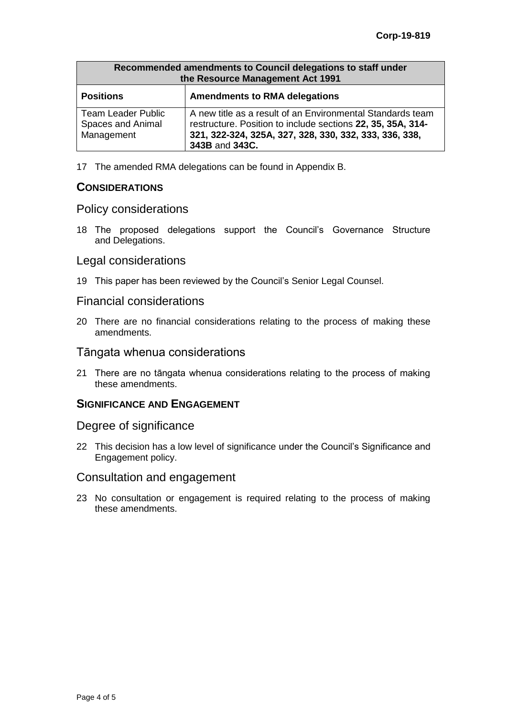| Recommended amendments to Council delegations to staff under<br>the Resource Management Act 1991 |                                                                                                                                                                                                       |  |
|--------------------------------------------------------------------------------------------------|-------------------------------------------------------------------------------------------------------------------------------------------------------------------------------------------------------|--|
| <b>Positions</b>                                                                                 | <b>Amendments to RMA delegations</b>                                                                                                                                                                  |  |
| <b>Team Leader Public</b><br>Spaces and Animal<br>Management                                     | A new title as a result of an Environmental Standards team<br>restructure. Position to include sections 22, 35, 35A, 314-<br>321, 322-324, 325A, 327, 328, 330, 332, 333, 336, 338,<br>343B and 343C. |  |

17 The amended RMA delegations can be found in Appendix B.

## **CONSIDERATIONS**

### Policy considerations

18 The proposed delegations support the Council's Governance Structure and Delegations.

## Legal considerations

19 This paper has been reviewed by the Council's Senior Legal Counsel.

### Financial considerations

20 There are no financial considerations relating to the process of making these amendments.

## Tāngata whenua considerations

21 There are no tāngata whenua considerations relating to the process of making these amendments.

### **SIGNIFICANCE AND ENGAGEMENT**

### Degree of significance

22 This decision has a low level of significance under the Council's Significance and Engagement policy.

### Consultation and engagement

23 No consultation or engagement is required relating to the process of making these amendments.